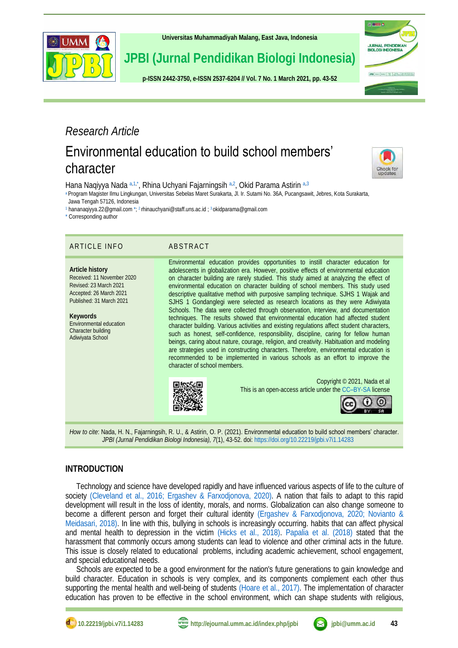

**[Universitas Muhammadiyah Malang,](http://ejournal.umm.ac.id/) East Java, Indonesia**

**JPBI (Jurnal Pendidikan Biologi Indonesia)**

**p-ISS[N 2442-3750,](http://u.lipi.go.id/1422867894) e-ISS[N 2537-6204](http://u.lipi.go.id/1460300524) // Vol. 7 No. 1 March 2021, pp. 43-52**



## *Research Article*

# Environmental education to build school members' character



<span id="page-0-5"></span>Hana Naqiyya Nada [a,](#page-0-0)1.[\\*](#page-0-2), Rhina Uchyani Fajarningsih a,[2](#page-0-3), Okid Parama Astirin a,[3](#page-0-4)

<span id="page-0-0"></span>[a](#page-0-5) Program Magister Ilmu Lingkungan, Universitas Sebelas Maret Surakarta, Jl. Ir. Sutami No. 36A, Pucangsawit, Jebres, Kota Surakarta, Jawa Tengah 57126, Indonesia

<span id="page-0-1"></span>[1](#page-0-5) [hananaqiyya.22@gmail.com](#page-0-5) [\\*;](#page-0-5)<sup>2</sup> [rhinauchyani@staff.uns.ac.id](#page-0-6) [;](#page-0-7) <sup>3</sup> [okidparama@gmail.com](#page-0-7)

<span id="page-0-2"></span>[\\*](#page-0-5) Corresponding author

#### ARTICLE INFO ABSTRACT

#### **Article history** Received: 11 November 2020 Revised: 23 March 2021 Accepted: 26 March 2021 Published: 31 March 2021

**Keywords** Environmental education Character building Adiwiyata School

<span id="page-0-7"></span><span id="page-0-6"></span><span id="page-0-4"></span><span id="page-0-3"></span>

Environmental education provides opportunities to instill character education for adolescents in globalization era. However, positive effects of environmental education on character building are rarely studied. This study aimed at analyzing the effect of environmental education on character building of school members. This study used descriptive qualitative method with purposive sampling technique. SJHS 1 Wajak and SJHS 1 Gondanglegi were selected as research locations as they were Adiwiyata Schools. The data were collected through observation, interview, and documentation techniques. The results showed that environmental education had affected student character building. Various activities and existing regulations affect student characters, such as honest, self-confidence, responsibility, discipline, caring for fellow human beings, caring about nature, courage, religion, and creativity. Habituation and modeling are strategies used in constructing characters. Therefore, environmental education is recommended to be implemented in various schools as an effort to improve the character of school members.



*How to cite*: Nada, H. N., Fajarningsih, R. U., & Astirin, O. P. (2021). Environmental education to build school members' character. *JPBI (Jurnal Pendidikan Biologi Indonesia), 7*(1), 43-52. doi[: https://doi.org/10.22219/jpbi.v7i1.14283](https://doi.org/10.22219/jpbi.v7i1.14283)

### **INTRODUCTION**

Technology and science have developed rapidly and have influenced various aspects of life to the culture of society [\(Cleveland et al., 2016;](#page-7-0) [Ergashev & Farxodjonova, 2020\).](#page-7-1) A nation that fails to adapt to this rapid development will result in the loss of identity, morals, and norms. Globalization can also change someone to become a different person and forget their cultural identity [\(Ergashev & Farxodjonova, 2020;](#page-7-1) [Novianto &](#page-8-0)  [Meidasari, 2018\).](#page-8-0) In line with this, bullying in schools is increasingly occurring. habits that can affect physical and mental health to depression in the victim [\(Hicks et al., 2018\).](#page-7-2) [Papalia et al. \(2018\)](#page-8-1) stated that the harassment that commonly occurs among students can lead to violence and other criminal acts in the future. This issue is closely related to educational problems, including academic achievement, school engagement, and special educational needs.

Schools are expected to be a good environment for the nation's future generations to gain knowledge and build character. Education in schools is very complex, and its components complement each other thus supporting the mental health and well-being of students [\(Hoare et al., 2017\).](#page-7-3) The implementation of character education has proven to be effective in the school environment, which can shape students with religious,





റ ര **SA**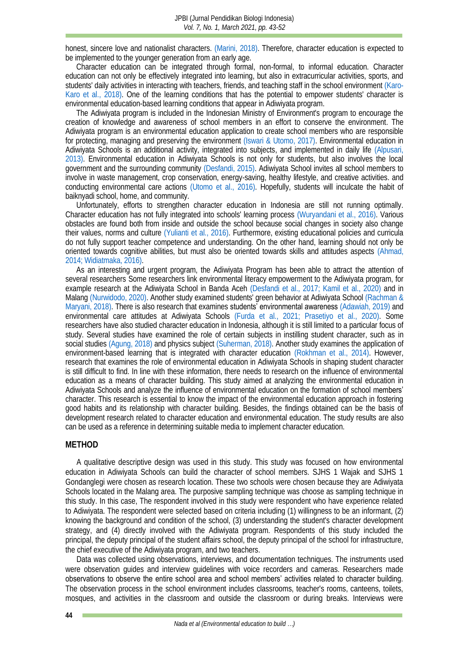honest, sincere love and nationalist characters. [\(Marini, 2018\).](#page-8-2) Therefore, character education is expected to be implemented to the younger generation from an early age.

Character education can be integrated through formal, non-formal, to informal education. Character education can not only be effectively integrated into learning, but also in extracurricular activities, sports, and students' daily activities in interacting with teachers, friends, and teaching staff in the school environmen[t \(Karo-](#page-8-3)Karo et al., 2018). One of the learning conditions that has the potential to empower students' character is environmental education-based learning conditions that appear in Adiwiyata program.

The Adiwiyata program is included in the Indonesian Ministry of Environment's program to encourage the creation of knowledge and awareness of school members in an effort to conserve the environment. The Adiwiyata program is an environmental education application to create school members who are responsible for protecting, managing and preserving the environment [\(Iswari & Utomo, 2017\).](#page-7-4) Environmental education in Adiwiyata Schools is an additional activity, integrated into subjects, and implemented in daily life [\(Alpusari,](#page-7-5)  2013). Environmental education in Adiwiyata Schools is not only for students, but also involves the local government and the surrounding community [\(Desfandi, 2015\).](#page-7-6) Adiwiyata School invites all school members to involve in waste management, crop conservation, energy-saving, healthy lifestyle, and creative activities. and conducting environmental care actions [\(Utomo et al., 2016\).](#page-9-0) Hopefully, students will inculcate the habit of baiknyadi school, home, and community.

Unfortunately, efforts to strengthen character education in Indonesia are still not running optimally. Character education has not fully integrated into schools' learning process [\(Wuryandani et al., 2016\).](#page-9-1) Various obstacles are found both from inside and outside the school because social changes in society also change their values, norms and culture [\(Yulianti et al., 2016\).](#page-9-2) Furthermore, existing educational policies and curricula do not fully support teacher competence and understanding. On the other hand, learning should not only be oriented towards cognitive abilities, but must also be oriented towards skills and attitudes aspects [\(Ahmad,](#page-7-7)  [2014;](#page-7-7) [Widiatmaka, 2016\).](#page-9-3)

As an interesting and urgent program, the Adiwiyata Program has been able to attract the attention of several researchers Some researchers link environmental literacy empowerment to the Adiwiyata program, for example research at the Adiwiyata School in Banda Aceh [\(Desfandi et al., 2017;](#page-7-8) [Kamil et al., 2020\)](#page-7-9) and in Malang [\(Nurwidodo, 2020\).](#page-8-4) Another study examined students' green behavior at Adiwiyata Schoo[l \(Rachman &](#page-8-5)  Maryani, 2018). There is also research that examines students' environmental awareness [\(Adawiah, 2019\)](#page-6-0) and environmental care attitudes at Adiwiyata Schools [\(Furda et al., 2021;](#page-7-10) [Prasetiyo et al., 2020\).](#page-8-6) Some researchers have also studied character education in Indonesia, although it is still limited to a particular focus of study. Several studies have examined the role of certain subjects in instilling student character, such as in social studies [\(Agung, 2018\)](#page-7-11) and physics subject [\(Suherman, 2018\).](#page-7-11) Another study examines the application of environment-based learning that is integrated with character education [\(Rokhman et al., 2014\).](#page-8-7) However, research that examines the role of environmental education in Adiwiyata Schools in shaping student character is still difficult to find. In line with these information, there needs to research on the influence of environmental education as a means of character building. This study aimed at analyzing the environmental education in Adiwiyata Schools and analyze the influence of environmental education on the formation of school members' character. This research is essential to know the impact of the environmental education approach in fostering good habits and its relationship with character building. Besides, the findings obtained can be the basis of development research related to character education and environmental education. The study results are also can be used as a reference in determining suitable media to implement character education.

#### **METHOD**

A qualitative descriptive design was used in this study. This study was focused on how environmental education in Adiwiyata Schools can build the character of school members. SJHS 1 Wajak and SJHS 1 Gondanglegi were chosen as research location. These two schools were chosen because they are Adiwiyata Schools located in the Malang area. The purposive sampling technique was choose as sampling technique in this study. In this case, The respondent involved in this study were respondent who have experience related to Adiwiyata. The respondent were selected based on criteria including (1) willingness to be an informant, (2) knowing the background and condition of the school, (3) understanding the student's character development strategy, and (4) directly involved with the Adiwiyata program. Respondents of this study included the principal, the deputy principal of the student affairs school, the deputy principal of the school for infrastructure, the chief executive of the Adiwiyata program, and two teachers.

Data was collected using observations, interviews, and documentation techniques. The instruments used were observation guides and interview guidelines with voice recorders and cameras. Researchers made observations to observe the entire school area and school members' activities related to character building. The observation process in the school environment includes classrooms, teacher's rooms, canteens, toilets, mosques, and activities in the classroom and outside the classroom or during breaks. Interviews were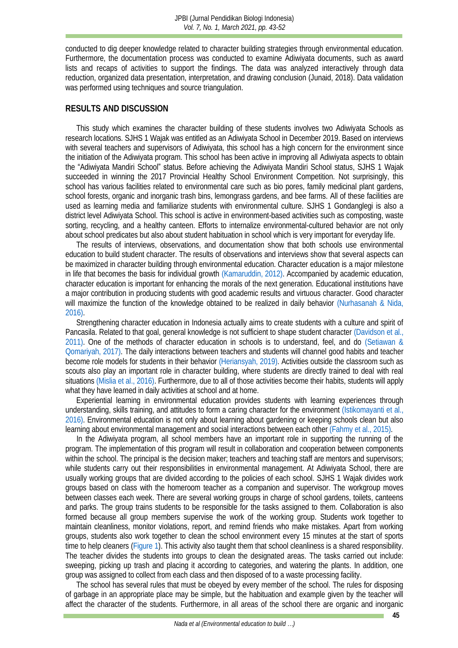conducted to dig deeper knowledge related to character building strategies through environmental education. Furthermore, the documentation process was conducted to examine Adiwiyata documents, such as award lists and recaps of activities to support the findings. The data was analyzed interactively through data reduction, organized data presentation, interpretation, and drawing conclusion (Junaid, 2018). Data validation was performed using techniques and source triangulation.

#### **RESULTS AND DISCUSSION**

This study which examines the character building of these students involves two Adiwiyata Schools as research locations. SJHS 1 Wajak was entitled as an Adiwiyata School in December 2019. Based on interviews with several teachers and supervisors of Adiwiyata, this school has a high concern for the environment since the initiation of the Adiwiyata program. This school has been active in improving all Adiwiyata aspects to obtain the "Adiwiyata Mandiri School" status. Before achieving the Adiwiyata Mandiri School status, SJHS 1 Wajak succeeded in winning the 2017 Provincial Healthy School Environment Competition. Not surprisingly, this school has various facilities related to environmental care such as bio pores, family medicinal plant gardens, school forests, organic and inorganic trash bins, lemongrass gardens, and bee farms. All of these facilities are used as learning media and familiarize students with environmental culture. SJHS 1 Gondanglegi is also a district level Adiwiyata School. This school is active in environment-based activities such as composting, waste sorting, recycling, and a healthy canteen. Efforts to internalize environmental-cultured behavior are not only about school predicates but also about student habituation in school which is very important for everyday life.

The results of interviews, observations, and documentation show that both schools use environmental education to build student character. The results of observations and interviews show that several aspects can be maximized in character building through environmental education. Character education is a major milestone in life that becomes the basis for individual growth [\(Kamaruddin, 2012\).](#page-7-12) Accompanied by academic education, character education is important for enhancing the morals of the next generation. Educational institutions have a major contribution in producing students with good academic results and virtuous character. Good character will maximize the function of the knowledge obtained to be realized in daily behavior (Nurhasanah & Nida, 2016).

Strengthening character education in Indonesia actually aims to create students with a culture and spirit of Pancasila. Related to that goal, general knowledge is not sufficient to shape student character [\(Davidson et al.,](#page-7-13)  2011). One of the methods of character education in schools is to understand, feel, and do [\(Setiawan &](#page-8-9)  Qomariyah, 2017). The daily interactions between teachers and students will channel good habits and teacher become role models for students in their behavior [\(Heriansyah, 2019\).](#page-7-14) Activities outside the classroom such as scouts also play an important role in character building, where students are directly trained to deal with real situations [\(Mislia et al., 2016\).](#page-8-10) Furthermore, due to all of those activities become their habits, students will apply what they have learned in daily activities at school and at home.

Experiential learning in environmental education provides students with learning experiences through understanding, skills training, and attitudes to form a caring character for the environment [\(Istikomayanti et al.,](#page-7-15)  2016). Environmental education is not only about learning about gardening or keeping schools clean but also learning about environmental management and social interactions between each other [\(Fahmy et al., 2015\).](#page-7-16)

In the Adiwiyata program, all school members have an important role in supporting the running of the program. The implementation of this program will result in collaboration and cooperation between components within the school. The principal is the decision maker; teachers and teaching staff are mentors and supervisors; while students carry out their responsibilities in environmental management. At Adiwiyata School, there are usually working groups that are divided according to the policies of each school. SJHS 1 Wajak divides work groups based on class with the homeroom teacher as a companion and supervisor. The workgroup moves between classes each week. There are several working groups in charge of school gardens, toilets, canteens and parks. The group trains students to be responsible for the tasks assigned to them. Collaboration is also formed because all group members supervise the work of the working group. Students work together to maintain cleanliness, monitor violations, report, and remind friends who make mistakes. Apart from working groups, students also work together to clean the school environment every 15 minutes at the start of sports time to help cleaners [\(Figure 1\)](#page-3-0). This activity also taught them that school cleanliness is a shared responsibility. The teacher divides the students into groups to clean the designated areas. The tasks carried out include: sweeping, picking up trash and placing it according to categories, and watering the plants. In addition, one group was assigned to collect from each class and then disposed of to a waste processing facility.

The school has several rules that must be obeyed by every member of the school. The rules for disposing of garbage in an appropriate place may be simple, but the habituation and example given by the teacher will affect the character of the students. Furthermore, in all areas of the school there are organic and inorganic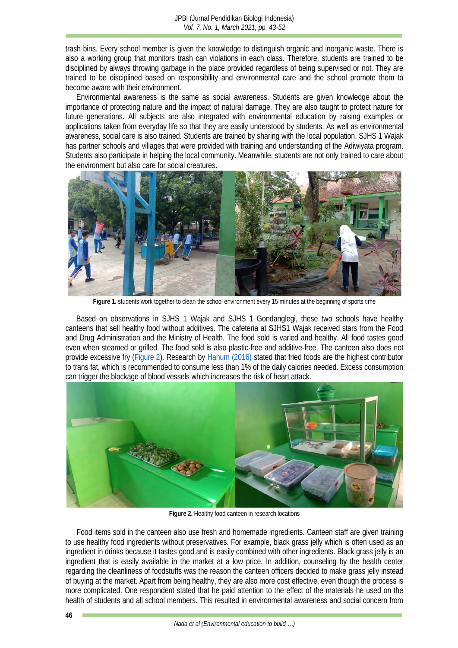trash bins. Every school member is given the knowledge to distinguish organic and inorganic waste. There is also a working group that monitors trash can violations in each class. Therefore, students are trained to be disciplined by always throwing garbage in the place provided regardless of being supervised or not. They are trained to be disciplined based on responsibility and environmental care and the school promote them to become aware with their environment.

Environmental awareness is the same as social awareness. Students are given knowledge about the importance of protecting nature and the impact of natural damage. They are also taught to protect nature for future generations. All subjects are also integrated with environmental education by raising examples or applications taken from everyday life so that they are easily understood by students. As well as environmental awareness, social care is also trained. Students are trained by sharing with the local population. SJHS 1 Wajak has partner schools and villages that were provided with training and understanding of the Adiwiyata program. Students also participate in helping the local community. Meanwhile, students are not only trained to care about the environment but also care for social creatures.

<span id="page-3-0"></span>

**Figure 1.** students work together to clean the school environment every 15 minutes at the beginning of sports time

Based on observations in SJHS 1 Wajak and SJHS 1 Gondanglegi, these two schools have healthy canteens that sell healthy food without additives. The cafeteria at SJHS1 Wajak received stars from the Food and Drug Administration and the Ministry of Health. The food sold is varied and healthy. All food tastes good even when steamed or grilled. The food sold is also plastic-free and additive-free. The canteen also does not provide excessive fry [\(Figure 2\)](#page-3-1). Research by [Hanum \(2016\)](#page-7-17) stated that fried foods are the highest contributor to trans fat, which is recommended to consume less than 1% of the daily calories needed. Excess consumption can trigger the blockage of blood vessels which increases the risk of heart attack.

<span id="page-3-1"></span>

**Figure 2.** Healthy food canteen in research locations

Food items sold in the canteen also use fresh and homemade ingredients. Canteen staff are given training to use healthy food ingredients without preservatives. For example, black grass jelly which is often used as an ingredient in drinks because it tastes good and is easily combined with other ingredients. Black grass jelly is an ingredient that is easily available in the market at a low price. In addition, counseling by the health center regarding the cleanliness of foodstuffs was the reason the canteen officers decided to make grass jelly instead of buying at the market. Apart from being healthy, they are also more cost effective, even though the process is more complicated. One respondent stated that he paid attention to the effect of the materials he used on the health of students and all school members. This resulted in environmental awareness and social concern from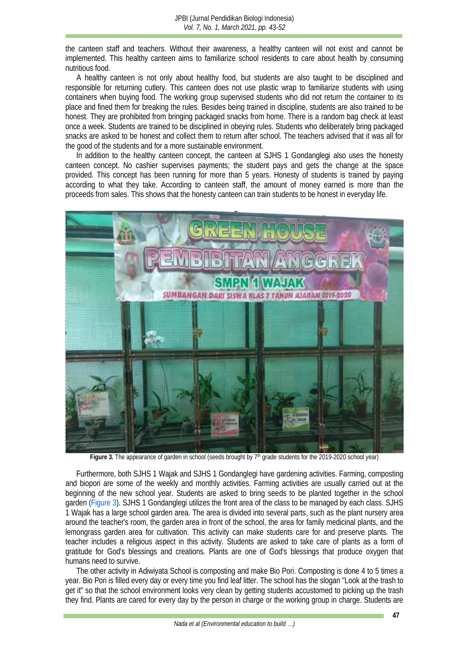the canteen staff and teachers. Without their awareness, a healthy canteen will not exist and cannot be implemented. This healthy canteen aims to familiarize school residents to care about health by consuming nutritious food.

A healthy canteen is not only about healthy food, but students are also taught to be disciplined and responsible for returning cutlery. This canteen does not use plastic wrap to familiarize students with using containers when buying food. The working group supervised students who did not return the container to its place and fined them for breaking the rules. Besides being trained in discipline, students are also trained to be honest. They are prohibited from bringing packaged snacks from home. There is a random bag check at least once a week. Students are trained to be disciplined in obeying rules. Students who deliberately bring packaged snacks are asked to be honest and collect them to return after school. The teachers advised that it was all for the good of the students and for a more sustainable environment.

In addition to the healthy canteen concept, the canteen at SJHS 1 Gondanglegi also uses the honesty canteen concept. No cashier supervises payments; the student pays and gets the change at the space provided. This concept has been running for more than 5 years. Honesty of students is trained by paying according to what they take. According to canteen staff, the amount of money earned is more than the proceeds from sales. This shows that the honesty canteen can train students to be honest in everyday life.

<span id="page-4-0"></span>

Figure 3. The appearance of garden in school (seeds brought by 7<sup>th</sup> grade students for the 2019-2020 school year)

Furthermore, both SJHS 1 Wajak and SJHS 1 Gondanglegi have gardening activities. Farming, composting and biopori are some of the weekly and monthly activities. Farming activities are usually carried out at the beginning of the new school year. Students are asked to bring seeds to be planted together in the school garden [\(Figure 3\)](#page-4-0). SJHS 1 Gondanglegi utilizes the front area of the class to be managed by each class. SJHS 1 Wajak has a large school garden area. The area is divided into several parts, such as the plant nursery area around the teacher's room, the garden area in front of the school, the area for family medicinal plants, and the lemongrass garden area for cultivation. This activity can make students care for and preserve plants. The teacher includes a religious aspect in this activity. Students are asked to take care of plants as a form of gratitude for God's blessings and creations. Plants are one of God's blessings that produce oxygen that humans need to survive.

The other activity in Adiwiyata School is composting and make Bio Pori. Composting is done 4 to 5 times a year. Bio Pori is filled every day or every time you find leaf litter. The school has the slogan "Look at the trash to get it" so that the school environment looks very clean by getting students accustomed to picking up the trash they find. Plants are cared for every day by the person in charge or the working group in charge. Students are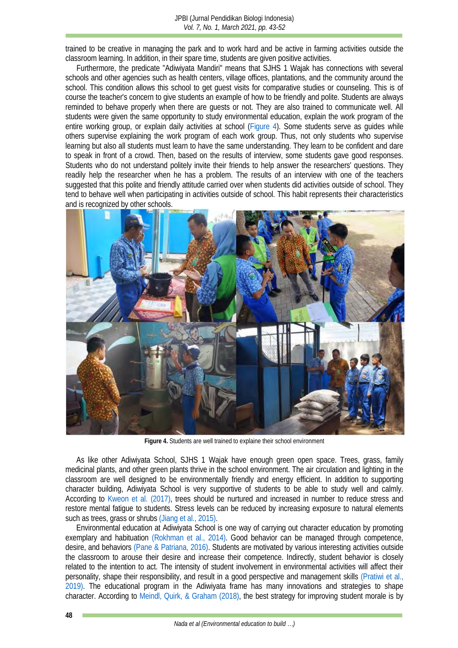trained to be creative in managing the park and to work hard and be active in farming activities outside the classroom learning. In addition, in their spare time, students are given positive activities.

Furthermore, the predicate "Adiwiyata Mandiri" means that SJHS 1 Wajak has connections with several schools and other agencies such as health centers, village offices, plantations, and the community around the school. This condition allows this school to get guest visits for comparative studies or counseling. This is of course the teacher's concern to give students an example of how to be friendly and polite. Students are always reminded to behave properly when there are guests or not. They are also trained to communicate well. All students were given the same opportunity to study environmental education, explain the work program of the entire working group, or explain daily activities at school [\(Figure 4\)](#page-5-0). Some students serve as guides while others supervise explaining the work program of each work group. Thus, not only students who supervise learning but also all students must learn to have the same understanding. They learn to be confident and dare to speak in front of a crowd. Then, based on the results of interview, some students gave good responses. Students who do not understand politely invite their friends to help answer the researchers' questions. They readily help the researcher when he has a problem. The results of an interview with one of the teachers suggested that this polite and friendly attitude carried over when students did activities outside of school. They tend to behave well when participating in activities outside of school. This habit represents their characteristics and is recognized by other schools.

<span id="page-5-0"></span>

**Figure 4.** Students are well trained to explaine their school environment

As like other Adiwiyata School, SJHS 1 Wajak have enough green open space. Trees, grass, family medicinal plants, and other green plants thrive in the school environment. The air circulation and lighting in the classroom are well designed to be environmentally friendly and energy efficient. In addition to supporting character building, Adiwiyata School is very supportive of students to be able to study well and calmly. According to [Kweon et al. \(2017\),](#page-8-11) trees should be nurtured and increased in number to reduce stress and restore mental fatigue to students. Stress levels can be reduced by increasing exposure to natural elements such as trees, grass or shrubs [\(Jiang et al., 2015\).](#page-7-18)

Environmental education at Adiwiyata School is one way of carrying out character education by promoting exemplary and habituation [\(Rokhman et al., 2014\).](#page-8-7) Good behavior can be managed through competence, desire, and behaviors [\(Pane & Patriana, 2016\).](#page-8-12) Students are motivated by various interesting activities outside the classroom to arouse their desire and increase their competence. Indirectly, student behavior is closely related to the intention to act. The intensity of student involvement in environmental activities will affect their personality, shape their responsibility, and result in a good perspective and management skills [\(Pratiwi et al.,](#page-8-13)  2019). The educational program in the Adiwiyata frame has many innovations and strategies to shape character. According to [Meindl, Quirk, & Graham \(2018\),](#page-8-14) the best strategy for improving student morale is by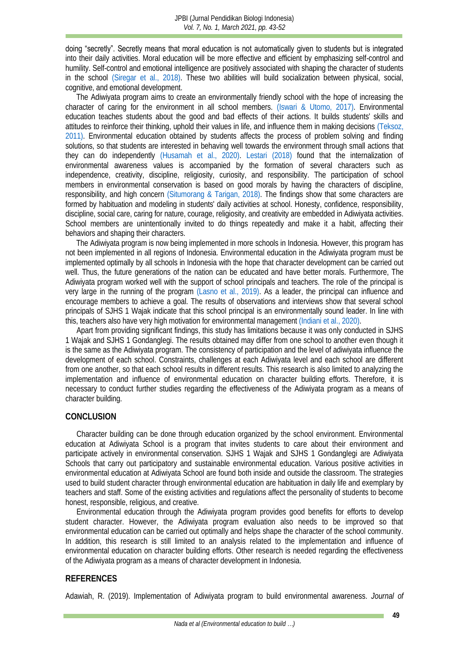doing "secretly". Secretly means that moral education is not automatically given to students but is integrated into their daily activities. Moral education will be more effective and efficient by emphasizing self-control and humility. Self-control and emotional intelligence are positively associated with shaping the character of students in the school [\(Siregar et al., 2018\).](#page-8-15) These two abilities will build socialization between physical, social, cognitive, and emotional development.

The Adiwiyata program aims to create an environmentally friendly school with the hope of increasing the character of caring for the environment in all school members. [\(Iswari & Utomo, 2017\).](#page-7-4) Environmental education teaches students about the good and bad effects of their actions. It builds students' skills and attitudes to reinforce their thinking, uphold their values in life, and influence them in making decisions [\(Teksoz,](#page-9-4)  2011). Environmental education obtained by students affects the process of problem solving and finding solutions, so that students are interested in behaving well towards the environment through small actions that they can do independently [\(Husamah et al., 2020\).](#page-7-19) [Lestari \(2018\)](#page-8-16) found that the internalization of environmental awareness values is accompanied by the formation of several characters such as independence, creativity, discipline, religiosity, curiosity, and responsibility. The participation of school members in environmental conservation is based on good morals by having the characters of discipline, responsibility, and high concern [\(Situmorang & Tarigan, 2018\).](#page-8-17) The findings show that some characters are formed by habituation and modeling in students' daily activities at school. Honesty, confidence, responsibility, discipline, social care, caring for nature, courage, religiosity, and creativity are embedded in Adiwiyata activities. School members are unintentionally invited to do things repeatedly and make it a habit, affecting their behaviors and shaping their characters.

The Adiwiyata program is now being implemented in more schools in Indonesia. However, this program has not been implemented in all regions of Indonesia. Environmental education in the Adiwiyata program must be implemented optimally by all schools in Indonesia with the hope that character development can be carried out well. Thus, the future generations of the nation can be educated and have better morals. Furthermore, The Adiwiyata program worked well with the support of school principals and teachers. The role of the principal is very large in the running of the program [\(Lasno et al., 2019\).](#page-8-18) As a leader, the principal can influence and encourage members to achieve a goal. The results of observations and interviews show that several school principals of SJHS 1 Wajak indicate that this school principal is an environmentally sound leader. In line with this, teachers also have very high motivation for environmental management [\(Indiani et al., 2020\).](#page-7-20)

Apart from providing significant findings, this study has limitations because it was only conducted in SJHS 1 Wajak and SJHS 1 Gondanglegi. The results obtained may differ from one school to another even though it is the same as the Adiwiyata program. The consistency of participation and the level of adiwiyata influence the development of each school. Constraints, challenges at each Adiwiyata level and each school are different from one another, so that each school results in different results. This research is also limited to analyzing the implementation and influence of environmental education on character building efforts. Therefore, it is necessary to conduct further studies regarding the effectiveness of the Adiwiyata program as a means of character building.

#### **CONCLUSION**

Character building can be done through education organized by the school environment. Environmental education at Adiwiyata School is a program that invites students to care about their environment and participate actively in environmental conservation. SJHS 1 Wajak and SJHS 1 Gondanglegi are Adiwiyata Schools that carry out participatory and sustainable environmental education. Various positive activities in environmental education at Adiwiyata School are found both inside and outside the classroom. The strategies used to build student character through environmental education are habituation in daily life and exemplary by teachers and staff. Some of the existing activities and regulations affect the personality of students to become honest, responsible, religious, and creative.

Environmental education through the Adiwiyata program provides good benefits for efforts to develop student character. However, the Adiwiyata program evaluation also needs to be improved so that environmental education can be carried out optimally and helps shape the character of the school community. In addition, this research is still limited to an analysis related to the implementation and influence of environmental education on character building efforts. Other research is needed regarding the effectiveness of the Adiwiyata program as a means of character development in Indonesia.

#### **REFERENCES**

<span id="page-6-0"></span>Adawiah, R. (2019). Implementation of Adiwiyata program to build environmental awareness. *Journal of*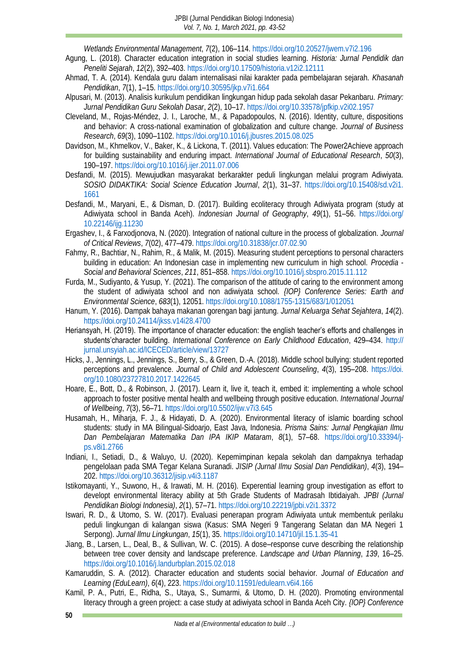*Wetlands Environmental Management*, *7*(2), 106–114.<https://doi.org/10.20527/jwem.v7i2.196>

- <span id="page-7-11"></span>Agung, L. (2018). Character education integration in social studies learning. *Historia: Jurnal Pendidik dan Peneliti Sejarah*, *12*(2), 392–403[. https://doi.org/10.17509/historia.v12i2.12111](https://doi.org/10.17509/historia.v12i2.12111)
- <span id="page-7-7"></span>Ahmad, T. A. (2014). Kendala guru dalam internalisasi nilai karakter pada pembelajaran sejarah. *Khasanah Pendidikan*, *7*(1), 1–15.<https://doi.org/10.30595/jkp.v7i1.664>
- <span id="page-7-5"></span>Alpusari, M. (2013). Analisis kurikulum pendidikan lingkungan hidup pada sekolah dasar Pekanbaru. *Primary: Jurnal Pendidikan Guru Sekolah Dasar*, *2*(2), 10–17.<https://doi.org/10.33578/jpfkip.v2i02.1957>
- <span id="page-7-0"></span>Cleveland, M., Rojas-Méndez, J. I., Laroche, M., & Papadopoulos, N. (2016). Identity, culture, dispositions and behavior: A cross-national examination of globalization and culture change. *Journal of Business Research*, *69*(3), 1090–1102.<https://doi.org/10.1016/j.jbusres.2015.08.025>
- <span id="page-7-13"></span>Davidson, M., Khmelkov, V., Baker, K., & Lickona, T. (2011). Values education: The Power2Achieve approach for building sustainability and enduring impact. *International Journal of Educational Research*, *50*(3), 190–197.<https://doi.org/10.1016/j.ijer.2011.07.006>
- <span id="page-7-6"></span>Desfandi, M. (2015). Mewujudkan masyarakat berkarakter peduli lingkungan melalui program Adiwiyata. *SOSIO DIDAKTIKA: Social Science Education Journal*, *2*(1), 31–37. [https://doi.org/10.15408/sd.v2i1.](https://doi.org/10.15408/sd.v2i1.1661) [1661](https://doi.org/10.15408/sd.v2i1.1661)
- <span id="page-7-8"></span>Desfandi, M., Maryani, E., & Disman, D. (2017). Building ecoliteracy through Adiwiyata program (study at Adiwiyata school in Banda Aceh). *Indonesian Journal of Geography*, *49*(1), 51–56. [https://doi.org/](https://doi.org/10.22146/ijg.11230) [10.22146/ijg.11230](https://doi.org/10.22146/ijg.11230)
- <span id="page-7-1"></span>Ergashev, I., & Farxodjonova, N. (2020). Integration of national culture in the process of globalization. *Journal of Critical Reviews*, *7*(02), 477–479[. https://doi.org/10.31838/jcr.07.02.90](https://doi.org/10.31838/jcr.07.02.90)
- <span id="page-7-16"></span>Fahmy, R., Bachtiar, N., Rahim, R., & Malik, M. (2015). Measuring student perceptions to personal characters building in education: An Indonesian case in implementing new curriculum in high school. *Procedia - Social and Behavioral Sciences*, *211*, 851–858[. https://doi.org/10.1016/j.sbspro.2015.11.112](https://doi.org/10.1016/j.sbspro.2015.11.112)
- <span id="page-7-10"></span>Furda, M., Sudiyanto, & Yusup, Y. (2021). The comparison of the attitude of caring to the environment among the student of adiwiyata school and non adiwiyata school. *{IOP} Conference Series: Earth and Environmental Science*, *683*(1), 12051[. https://doi.org/10.1088/1755-1315/683/1/012051](https://doi.org/10.1088/1755-1315/683/1/012051)
- <span id="page-7-17"></span>Hanum, Y. (2016). Dampak bahaya makanan gorengan bagi jantung. *Jurnal Keluarga Sehat Sejahtera*, *14*(2). <https://doi.org/10.24114/jkss.v14i28.4700>
- <span id="page-7-14"></span>Heriansyah, H. (2019). The importance of character education: the english teacher's efforts and challenges in students'character building. *International Conference on Early Childhood Education*, 429–434. [http://](http://jurnal.unsyiah.ac.id/ICECED/article/view/13727) [jurnal.unsyiah.ac.id/ICECED/article/view/13727](http://jurnal.unsyiah.ac.id/ICECED/article/view/13727)
- <span id="page-7-2"></span>Hicks, J., Jennings, L., Jennings, S., Berry, S., & Green, D.-A. (2018). Middle school bullying: student reported perceptions and prevalence. *Journal of Child and Adolescent Counseling*, *4*(3), 195–208. [https://doi.](https://doi.org/10.1080/23727810.2017.1422645) [org/10.1080/23727810.2017.1422645](https://doi.org/10.1080/23727810.2017.1422645)
- <span id="page-7-3"></span>Hoare, E., Bott, D., & Robinson, J. (2017). Learn it, live it, teach it, embed it: implementing a whole school approach to foster positive mental health and wellbeing through positive education. *International Journal of Wellbeing*, *7*(3), 56–71.<https://doi.org/10.5502/ijw.v7i3.645>
- <span id="page-7-19"></span>Husamah, H., Miharja, F. J., & Hidayati, D. A. (2020). Environmental literacy of islamic boarding school students: study in MA Bilingual-Sidoarjo, East Java, Indonesia. *Prisma Sains: Jurnal Pengkajian Ilmu Dan Pembelajaran Matematika Dan IPA IKIP Mataram*, *8*(1), 57–68. [https://doi.org/10.33394/j](https://doi.org/10.33394/j-ps.v8i1.2766)[ps.v8i1.2766](https://doi.org/10.33394/j-ps.v8i1.2766)
- <span id="page-7-20"></span>Indiani, I., Setiadi, D., & Waluyo, U. (2020). Kepemimpinan kepala sekolah dan dampaknya terhadap pengelolaan pada SMA Tegar Kelana Suranadi. *JISIP (Jurnal Ilmu Sosial Dan Pendidikan)*, *4*(3), 194– 202.<https://doi.org/10.36312/jisip.v4i3.1187>
- <span id="page-7-15"></span>Istikomayanti, Y., Suwono, H., & Irawati, M. H. (2016). Experential learning group investigation as effort to developt environmental literacy ability at 5th Grade Students of Madrasah Ibtidaiyah. *JPBI (Jurnal Pendidikan Biologi Indonesia)*, *2*(1), 57–71.<https://doi.org/10.22219/jpbi.v2i1.3372>
- <span id="page-7-4"></span>Iswari, R. D., & Utomo, S. W. (2017). Evaluasi penerapan program Adiwiyata untuk membentuk perilaku peduli lingkungan di kalangan siswa (Kasus: SMA Negeri 9 Tangerang Selatan dan MA Negeri 1 Serpong). *Jurnal Ilmu Lingkungan*, *15*(1), 35[. https://doi.org/10.14710/jil.15.1.35-41](https://doi.org/10.14710/jil.15.1.35-41)
- <span id="page-7-18"></span>Jiang, B., Larsen, L., Deal, B., & Sullivan, W. C. (2015). A dose–response curve describing the relationship between tree cover density and landscape preference. *Landscape and Urban Planning*, *139*, 16–25. <https://doi.org/10.1016/j.landurbplan.2015.02.018>
- <span id="page-7-12"></span>Kamaruddin, S. A. (2012). Character education and students social behavior. *Journal of Education and Learning (EduLearn)*, *6*(4), 223.<https://doi.org/10.11591/edulearn.v6i4.166>
- <span id="page-7-9"></span>Kamil, P. A., Putri, E., Ridha, S., Utaya, S., Sumarmi, & Utomo, D. H. (2020). Promoting environmental literacy through a green project: a case study at adiwiyata school in Banda Aceh City. *{IOP} Conference*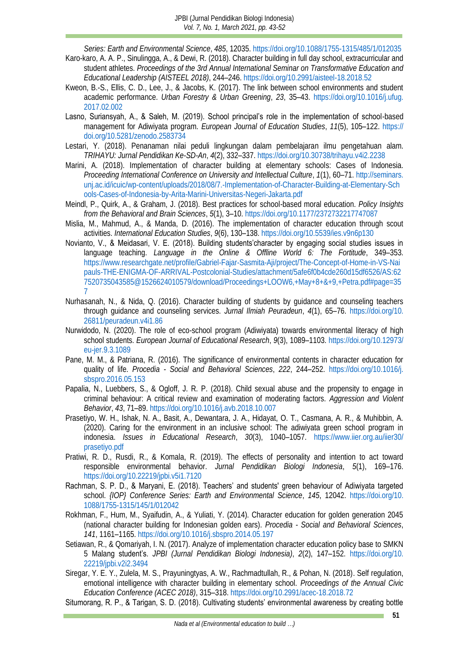- <span id="page-8-3"></span>*Series: Earth and Environmental Science*, *485*, 12035[. https://doi.org/10.1088/1755-1315/485/1/012035](https://doi.org/10.1088/1755-1315/485/1/012035) Karo-karo, A. A. P., Sinulingga, A., & Dewi, R. (2018). Character building in full day school, extracurricular and student athletes. *Proceedings of the 3rd Annual International Seminar on Transformative Education and Educational Leadership (AISTEEL 2018)*, 244–246[. https://doi.org/10.2991/aisteel-18.2018.52](https://doi.org/10.2991/aisteel-18.2018.52)
- <span id="page-8-11"></span>Kweon, B.-S., Ellis, C. D., Lee, J., & Jacobs, K. (2017). The link between school environments and student academic performance. *Urban Forestry & Urban Greening*, *23*, 35–43. [https://doi.org/10.1016/j.ufug.](https://doi.org/10.1016/j.ufug.2017.02.002) [2017.02.002](https://doi.org/10.1016/j.ufug.2017.02.002)
- <span id="page-8-18"></span>Lasno, Suriansyah, A., & Saleh, M. (2019). School principal's role in the implementation of school-based management for Adiwiyata program. *European Journal of Education Studies*, *11*(5), 105–122. [https://](https://doi.org/10.5281/zenodo.2583734) [doi.org/10.5281/zenodo.2583734](https://doi.org/10.5281/zenodo.2583734)
- <span id="page-8-16"></span>Lestari, Y. (2018). Penanaman nilai peduli lingkungan dalam pembelajaran ilmu pengetahuan alam. *TRIHAYU: Jurnal Pendidikan Ke-SD-An*, *4*(2), 332–337[. https://doi.org/10.30738/trihayu.v4i2.2238](https://doi.org/10.30738/trihayu.v4i2.2238)
- <span id="page-8-2"></span>Marini, A. (2018). Implementation of character building at elementary schools: Cases of Indonesia. *Proceeding International Conference on University and Intellectual Culture*, *1*(1), 60–71. [http://seminars.](http://seminars.unj.ac.id/icuic/wp-content/uploads/2018/08/7.-Implementation-of-Character-Building-at-Elementary-Schools-Cases-of-Indonesia-by-Arita-Marini-Universitas-Negeri-Jakarta.pdf) [unj.ac.id/icuic/wp-content/uploads/2018/08/7.-Implementation-of-Character-Building-at-Elementary-Sch](http://seminars.unj.ac.id/icuic/wp-content/uploads/2018/08/7.-Implementation-of-Character-Building-at-Elementary-Schools-Cases-of-Indonesia-by-Arita-Marini-Universitas-Negeri-Jakarta.pdf) [ools-Cases-of-Indonesia-by-Arita-Marini-Universitas-Negeri-Jakarta.pdf](http://seminars.unj.ac.id/icuic/wp-content/uploads/2018/08/7.-Implementation-of-Character-Building-at-Elementary-Schools-Cases-of-Indonesia-by-Arita-Marini-Universitas-Negeri-Jakarta.pdf)
- <span id="page-8-14"></span>Meindl, P., Quirk, A., & Graham, J. (2018). Best practices for school-based moral education. *Policy Insights from the Behavioral and Brain Sciences*, *5*(1), 3–10[. https://doi.org/10.1177/2372732217747087](https://doi.org/10.1177/2372732217747087)
- <span id="page-8-10"></span>Mislia, M., Mahmud, A., & Manda, D. (2016). The implementation of character education through scout activities. *International Education Studies*, *9*(6), 130–138. <https://doi.org/10.5539/ies.v9n6p130>
- <span id="page-8-0"></span>Novianto, V., & Meidasari, V. E. (2018). Building students'character by engaging social studies issues in language teaching. *Language in the Online & Offline World 6: The Fortitude*, 349–353. [https://www.researchgate.net/profile/Gabriel-Fajar-Sasmita-Aji/project/The-Concept-of-Home-in-VS-Nai](https://www.researchgate.net/profile/Gabriel-Fajar-Sasmita-Aji/project/The-Concept-of-Home-in-VS-Naipauls-THE-ENIGMA-OF-ARRIVAL-Postcolonial-Studies/attachment/5afe6f0b4cde260d15df6526/AS:627520735043585@1526624010579/download/Proceedings+LOOW6,+May+8+&+9,+Petra.pdf%23page=357) [pauls-THE-ENIGMA-OF-ARRIVAL-Postcolonial-Studies/attachment/5afe6f0b4cde260d15df6526/AS:62](https://www.researchgate.net/profile/Gabriel-Fajar-Sasmita-Aji/project/The-Concept-of-Home-in-VS-Naipauls-THE-ENIGMA-OF-ARRIVAL-Postcolonial-Studies/attachment/5afe6f0b4cde260d15df6526/AS:627520735043585@1526624010579/download/Proceedings+LOOW6,+May+8+&+9,+Petra.pdf%23page=357) [7520735043585@1526624010579/download/Proceedings+LOOW6,+May+8+&+9,+Petra.pdf#page=35](https://www.researchgate.net/profile/Gabriel-Fajar-Sasmita-Aji/project/The-Concept-of-Home-in-VS-Naipauls-THE-ENIGMA-OF-ARRIVAL-Postcolonial-Studies/attachment/5afe6f0b4cde260d15df6526/AS:627520735043585@1526624010579/download/Proceedings+LOOW6,+May+8+&+9,+Petra.pdf%23page=357) [7](https://www.researchgate.net/profile/Gabriel-Fajar-Sasmita-Aji/project/The-Concept-of-Home-in-VS-Naipauls-THE-ENIGMA-OF-ARRIVAL-Postcolonial-Studies/attachment/5afe6f0b4cde260d15df6526/AS:627520735043585@1526624010579/download/Proceedings+LOOW6,+May+8+&+9,+Petra.pdf%23page=357)
- <span id="page-8-8"></span>Nurhasanah, N., & Nida, Q. (2016). Character building of students by guidance and counseling teachers through guidance and counseling services. *Jurnal Ilmiah Peuradeun*, *4*(1), 65–76. [https://doi.org/10.](https://doi.org/10.26811/peuradeun.v4i1.86) [26811/peuradeun.v4i1.86](https://doi.org/10.26811/peuradeun.v4i1.86)
- <span id="page-8-4"></span>Nurwidodo, N. (2020). The role of eco-school program (Adiwiyata) towards environmental literacy of high school students. *European Journal of Educational Research*, *9*(3), 1089–1103. [https://doi.org/10.12973/](https://doi.org/10.12973/eu-jer.9.3.1089) [eu-jer.9.3.1089](https://doi.org/10.12973/eu-jer.9.3.1089)
- <span id="page-8-12"></span>Pane, M. M., & Patriana, R. (2016). The significance of environmental contents in character education for quality of life. *Procedia - Social and Behavioral Sciences*, *222*, 244–252. [https://doi.org/10.1016/j.](https://doi.org/10.1016/j.sbspro.2016.05.153) [sbspro.2016.05.153](https://doi.org/10.1016/j.sbspro.2016.05.153)
- <span id="page-8-1"></span>Papalia, N., Luebbers, S., & Ogloff, J. R. P. (2018). Child sexual abuse and the propensity to engage in criminal behaviour: A critical review and examination of moderating factors. *Aggression and Violent Behavior*, *43*, 71–89.<https://doi.org/10.1016/j.avb.2018.10.007>
- <span id="page-8-6"></span>Prasetiyo, W. H., Ishak, N. A., Basit, A., Dewantara, J. A., Hidayat, O. T., Casmana, A. R., & Muhibbin, A. (2020). Caring for the environment in an inclusive school: The adiwiyata green school program in indonesia. *Issues in Educational Research*, *30*(3), 1040–1057. [https://www.iier.org.au/iier30/](https://www.iier.org.au/iier30/prasetiyo.pdf) [prasetiyo.pdf](https://www.iier.org.au/iier30/prasetiyo.pdf)
- <span id="page-8-13"></span>Pratiwi, R. D., Rusdi, R., & Komala, R. (2019). The effects of personality and intention to act toward responsible environmental behavior. *Jurnal Pendidikan Biologi Indonesia*, *5*(1), 169–176. <https://doi.org/10.22219/jpbi.v5i1.7120>
- <span id="page-8-5"></span>Rachman, S. P. D., & Maryani, E. (2018). Teachers' and students' green behaviour of Adiwiyata targeted school. *{IOP} Conference Series: Earth and Environmental Science*, *145*, 12042. [https://doi.org/10.](https://doi.org/10.1088/1755-1315/145/1/012042) [1088/1755-1315/145/1/012042](https://doi.org/10.1088/1755-1315/145/1/012042)
- <span id="page-8-7"></span>Rokhman, F., Hum, M., Syaifudin, A., & Yuliati, Y. (2014). Character education for golden generation 2045 (national character building for Indonesian golden ears). *Procedia - Social and Behavioral Sciences*, *141*, 1161–1165.<https://doi.org/10.1016/j.sbspro.2014.05.197>
- <span id="page-8-9"></span>Setiawan, R., & Qomariyah, I. N. (2017). Analyze of implementation character education policy base to SMKN 5 Malang student's. *JPBI (Jurnal Pendidikan Biologi Indonesia)*, *2*(2), 147–152. [https://doi.org/10.](https://doi.org/10.22219/jpbi.v2i2.3494) [22219/jpbi.v2i2.3494](https://doi.org/10.22219/jpbi.v2i2.3494)
- <span id="page-8-15"></span>Siregar, Y. E. Y., Zulela, M. S., Prayuningtyas, A. W., Rachmadtullah, R., & Pohan, N. (2018). Self regulation, emotional intelligence with character building in elementary school. *Proceedings of the Annual Civic Education Conference (ACEC 2018)*, 315–318[. https://doi.org/10.2991/acec-18.2018.72](https://doi.org/10.2991/acec-18.2018.72)
- <span id="page-8-17"></span>Situmorang, R. P., & Tarigan, S. D. (2018). Cultivating students' environmental awareness by creating bottle